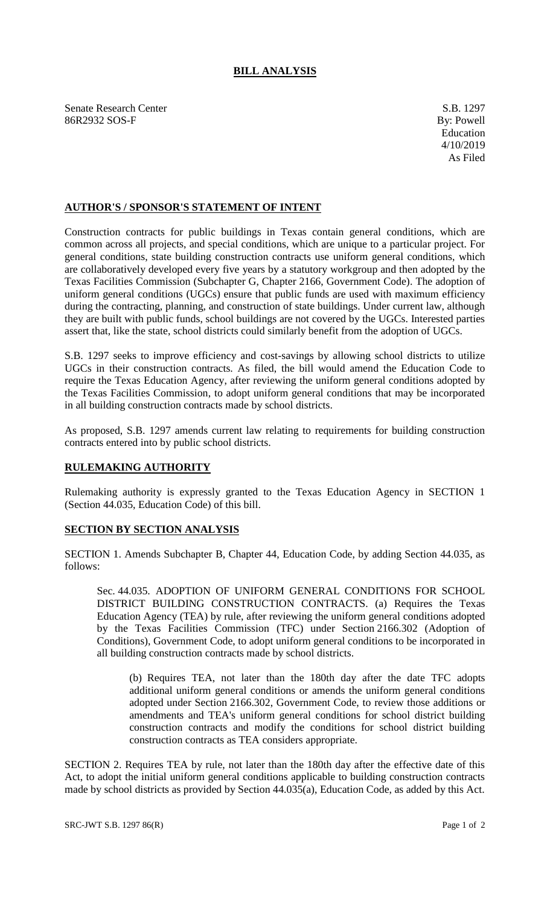## **BILL ANALYSIS**

Senate Research Center S.B. 1297 86R2932 SOS-F By: Powell

## **AUTHOR'S / SPONSOR'S STATEMENT OF INTENT**

Construction contracts for public buildings in Texas contain general conditions, which are common across all projects, and special conditions, which are unique to a particular project. For general conditions, state building construction contracts use uniform general conditions, which are collaboratively developed every five years by a statutory workgroup and then adopted by the Texas Facilities Commission (Subchapter G, Chapter 2166, Government Code). The adoption of uniform general conditions (UGCs) ensure that public funds are used with maximum efficiency during the contracting, planning, and construction of state buildings. Under current law, although they are built with public funds, school buildings are not covered by the UGCs. Interested parties assert that, like the state, school districts could similarly benefit from the adoption of UGCs.

S.B. 1297 seeks to improve efficiency and cost-savings by allowing school districts to utilize UGCs in their construction contracts. As filed, the bill would amend the Education Code to require the Texas Education Agency, after reviewing the uniform general conditions adopted by the Texas Facilities Commission, to adopt uniform general conditions that may be incorporated in all building construction contracts made by school districts.

As proposed, S.B. 1297 amends current law relating to requirements for building construction contracts entered into by public school districts.

## **RULEMAKING AUTHORITY**

Rulemaking authority is expressly granted to the Texas Education Agency in SECTION 1 (Section 44.035, Education Code) of this bill.

## **SECTION BY SECTION ANALYSIS**

SECTION 1. Amends Subchapter B, Chapter 44, Education Code, by adding Section 44.035, as follows:

Sec. 44.035. ADOPTION OF UNIFORM GENERAL CONDITIONS FOR SCHOOL DISTRICT BUILDING CONSTRUCTION CONTRACTS. (a) Requires the Texas Education Agency (TEA) by rule, after reviewing the uniform general conditions adopted by the Texas Facilities Commission (TFC) under Section 2166.302 (Adoption of Conditions), Government Code, to adopt uniform general conditions to be incorporated in all building construction contracts made by school districts.

(b) Requires TEA, not later than the 180th day after the date TFC adopts additional uniform general conditions or amends the uniform general conditions adopted under Section [2166.302,](http://www.statutes.legis.state.tx.us/GetStatute.aspx?Code=GV&Value=2166.302&Date=2/28/2019) Government Code, to review those additions or amendments and TEA's uniform general conditions for school district building construction contracts and modify the conditions for school district building construction contracts as TEA considers appropriate.

SECTION 2. Requires TEA by rule, not later than the 180th day after the effective date of this Act, to adopt the initial uniform general conditions applicable to building construction contracts made by school districts as provided by Section 44.035(a), Education Code, as added by this Act.